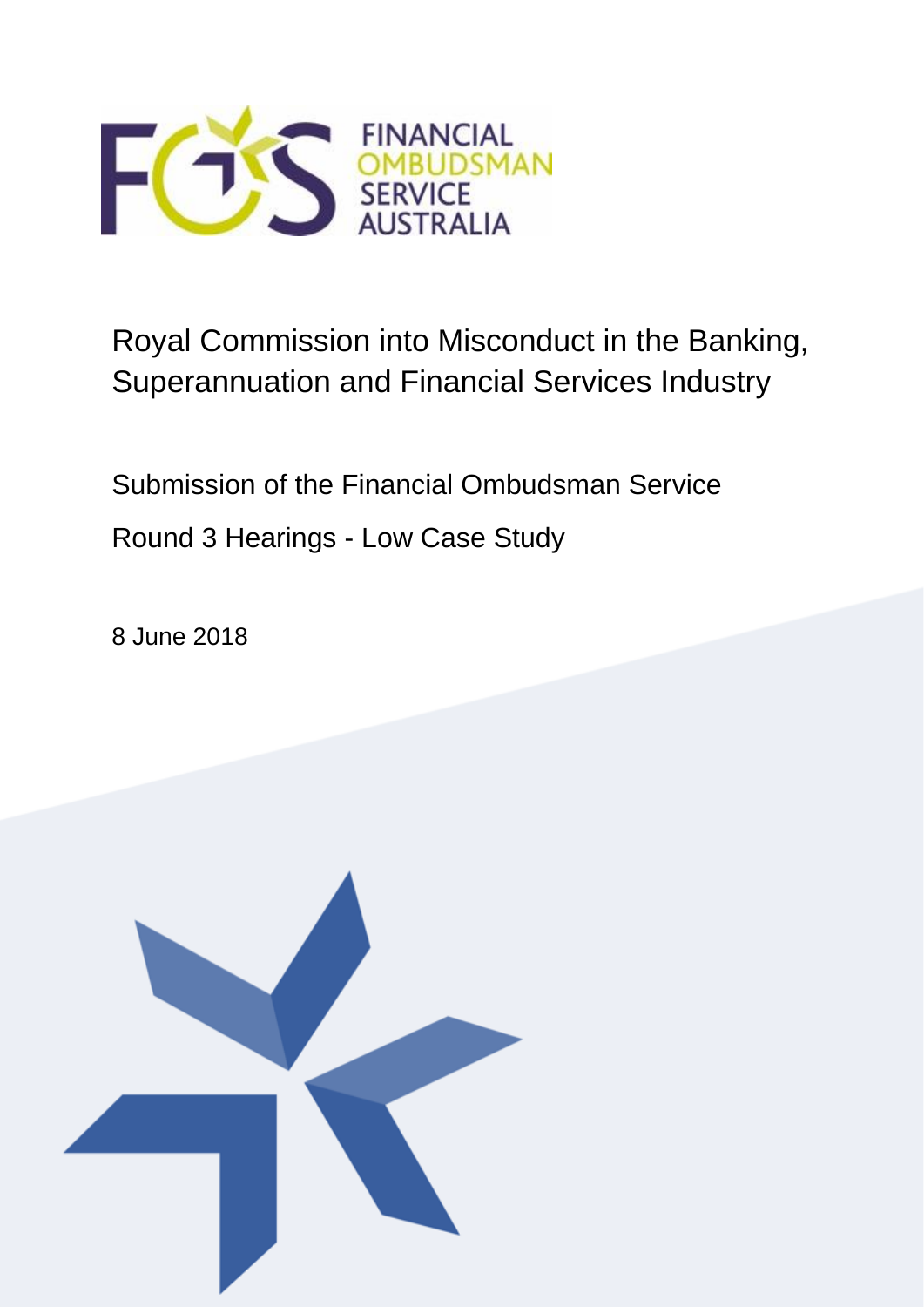

# Royal Commission into Misconduct in the Banking, Superannuation and Financial Services Industry

Submission of the Financial Ombudsman Service Round 3 Hearings - Low Case Study

8 June 2018

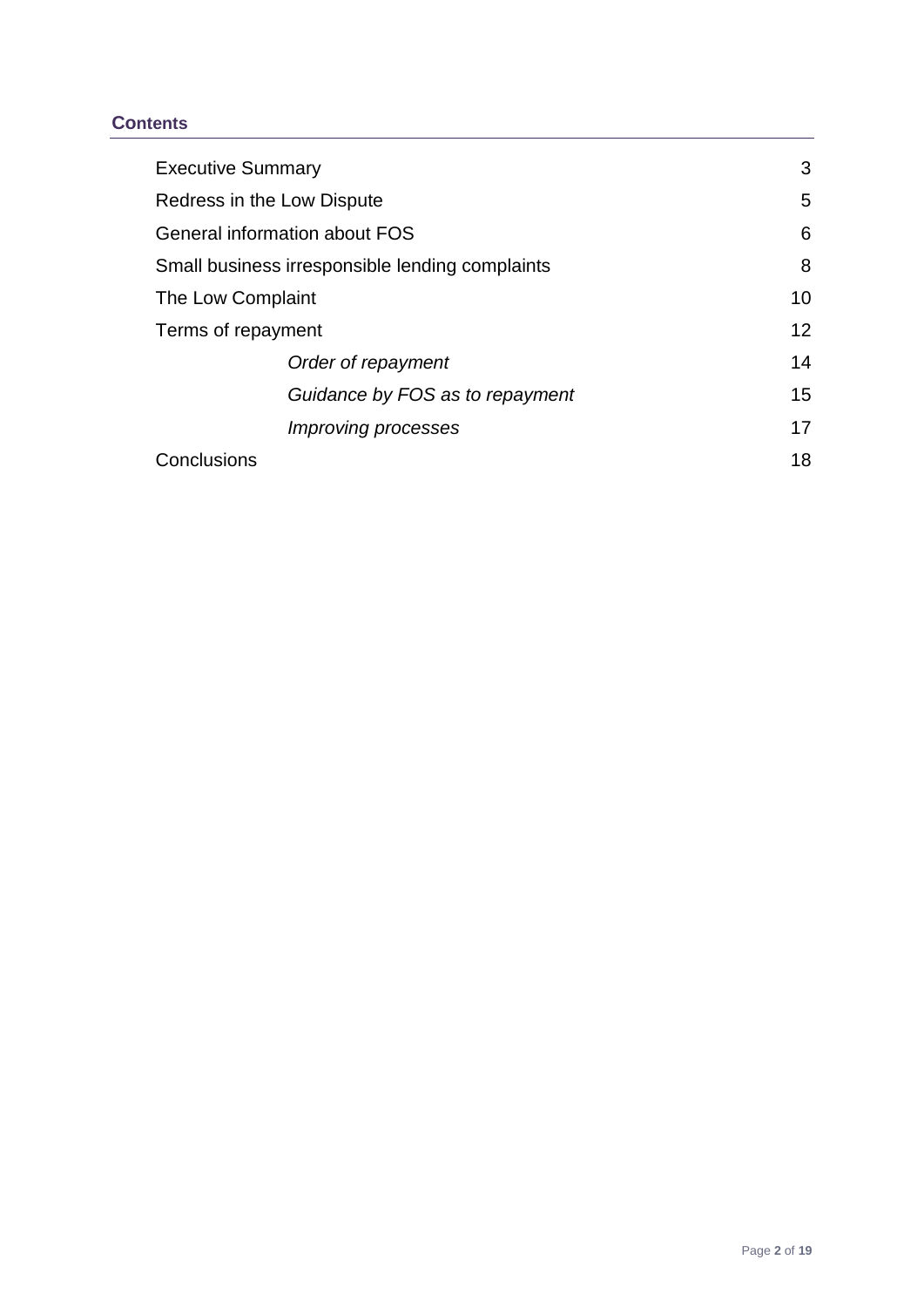## **Contents**

| <b>Executive Summary</b>                        | 3               |
|-------------------------------------------------|-----------------|
| Redress in the Low Dispute                      | 5               |
| General information about FOS                   | 6               |
| Small business irresponsible lending complaints | 8               |
| The Low Complaint                               | 10              |
| Terms of repayment                              | 12 <sup>2</sup> |
| Order of repayment                              | 14              |
| Guidance by FOS as to repayment                 | 15              |
| <i>Improving processes</i>                      | 17              |
| Conclusions                                     | 18              |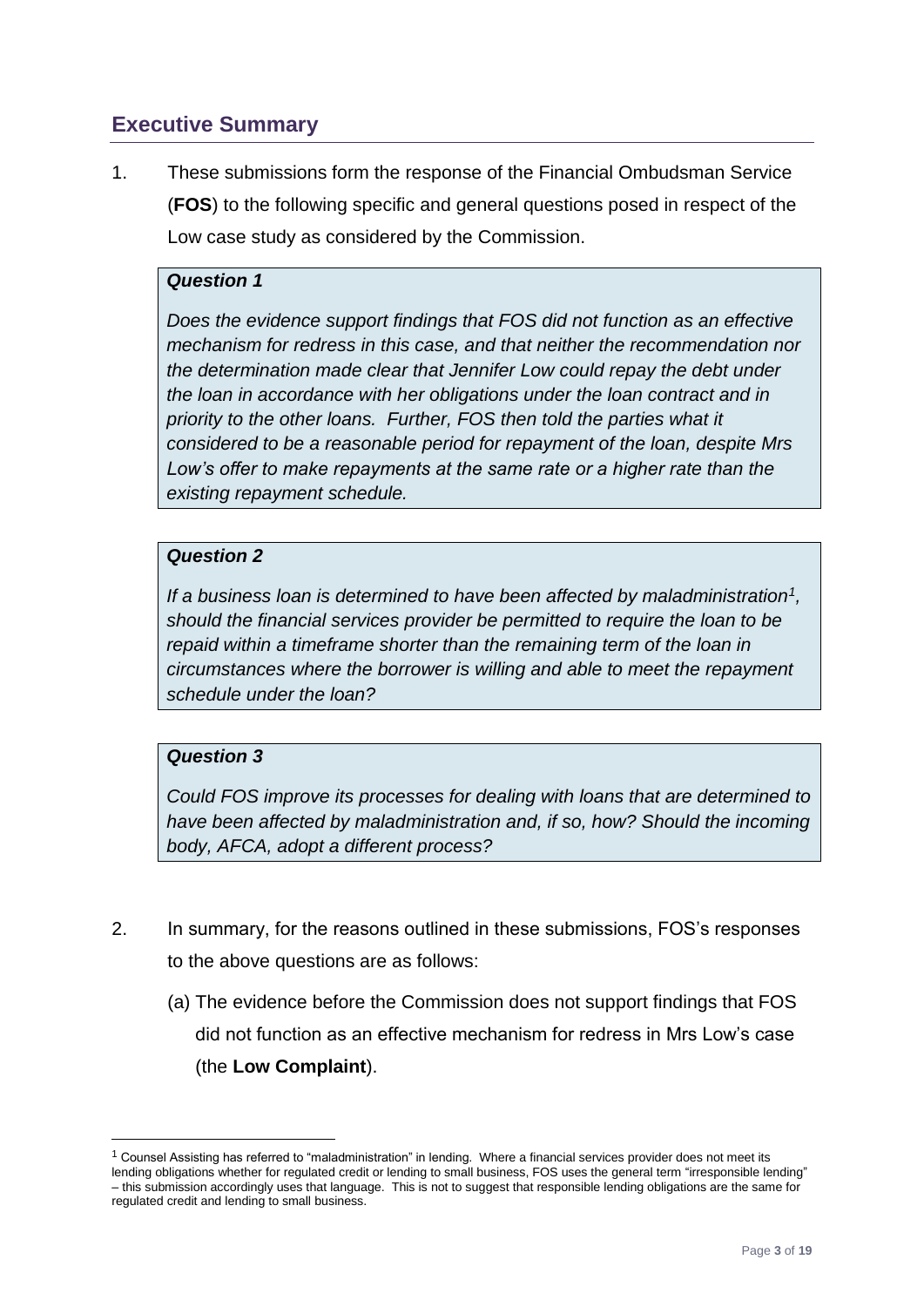# <span id="page-2-0"></span>**Executive Summary**

1. These submissions form the response of the Financial Ombudsman Service (**FOS**) to the following specific and general questions posed in respect of the Low case study as considered by the Commission.

## *Question 1*

*Does the evidence support findings that FOS did not function as an effective mechanism for redress in this case, and that neither the recommendation nor the determination made clear that Jennifer Low could repay the debt under the loan in accordance with her obligations under the loan contract and in priority to the other loans. Further, FOS then told the parties what it considered to be a reasonable period for repayment of the loan, despite Mrs*  Low's offer to make repayments at the same rate or a higher rate than the *existing repayment schedule.*

## *Question 2*

*If a business loan is determined to have been affected by maladministration<sup>1</sup> , should the financial services provider be permitted to require the loan to be repaid within a timeframe shorter than the remaining term of the loan in circumstances where the borrower is willing and able to meet the repayment schedule under the loan?* 

## *Question 3*

<u>.</u>

*Could FOS improve its processes for dealing with loans that are determined to have been affected by maladministration and, if so, how? Should the incoming body, AFCA, adopt a different process?*

- 2. In summary, for the reasons outlined in these submissions, FOS's responses to the above questions are as follows:
	- (a) The evidence before the Commission does not support findings that FOS did not function as an effective mechanism for redress in Mrs Low's case (the **Low Complaint**).

 $1$  Counsel Assisting has referred to "maladministration" in lending. Where a financial services provider does not meet its lending obligations whether for regulated credit or lending to small business, FOS uses the general term "irresponsible lending" – this submission accordingly uses that language. This is not to suggest that responsible lending obligations are the same for regulated credit and lending to small business.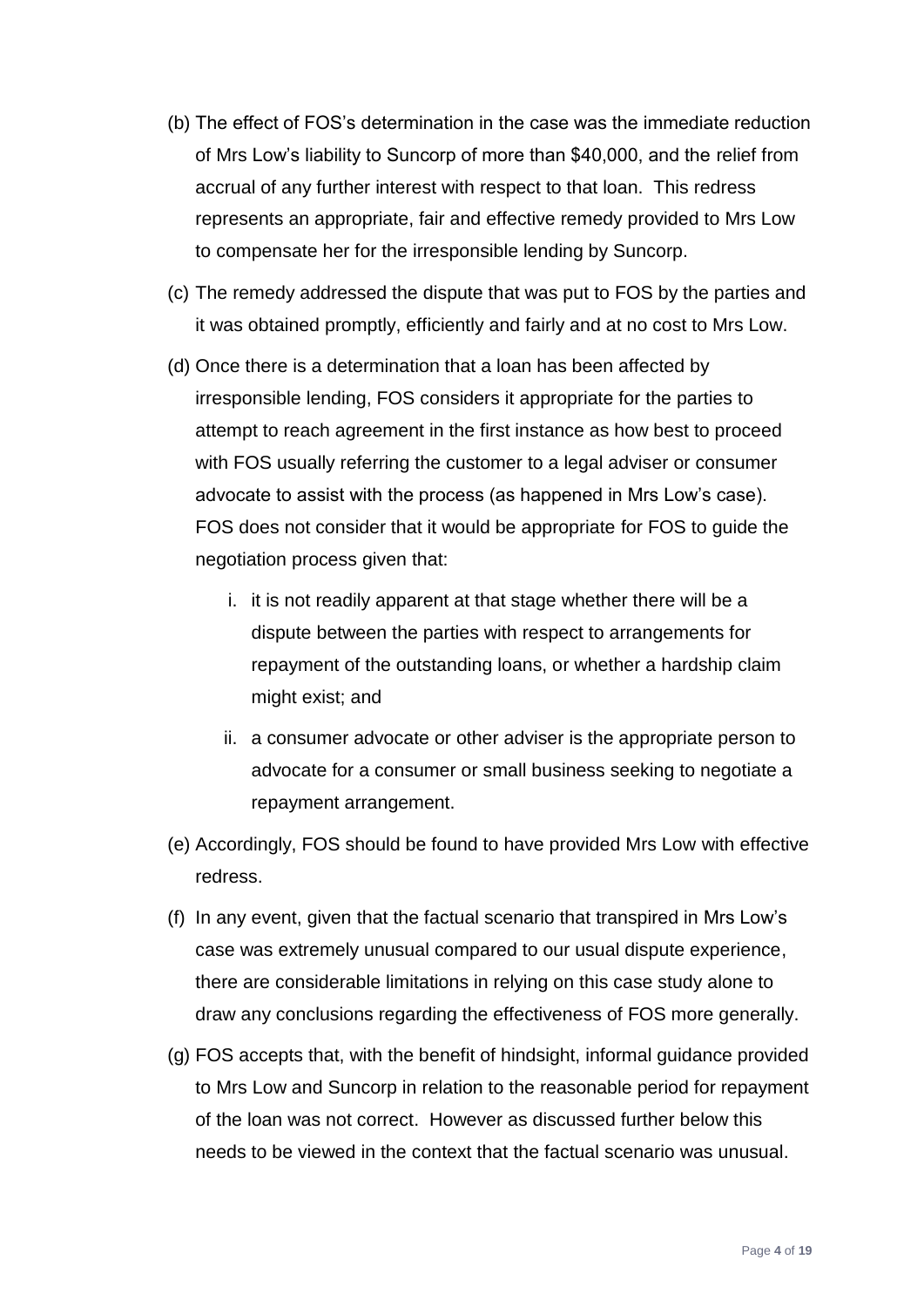- (b) The effect of FOS's determination in the case was the immediate reduction of Mrs Low's liability to Suncorp of more than \$40,000, and the relief from accrual of any further interest with respect to that loan. This redress represents an appropriate, fair and effective remedy provided to Mrs Low to compensate her for the irresponsible lending by Suncorp.
- (c) The remedy addressed the dispute that was put to FOS by the parties and it was obtained promptly, efficiently and fairly and at no cost to Mrs Low.
- (d) Once there is a determination that a loan has been affected by irresponsible lending, FOS considers it appropriate for the parties to attempt to reach agreement in the first instance as how best to proceed with FOS usually referring the customer to a legal adviser or consumer advocate to assist with the process (as happened in Mrs Low's case). FOS does not consider that it would be appropriate for FOS to guide the negotiation process given that:
	- i. it is not readily apparent at that stage whether there will be a dispute between the parties with respect to arrangements for repayment of the outstanding loans, or whether a hardship claim might exist; and
	- ii. a consumer advocate or other adviser is the appropriate person to advocate for a consumer or small business seeking to negotiate a repayment arrangement.
- (e) Accordingly, FOS should be found to have provided Mrs Low with effective redress.
- (f) In any event, given that the factual scenario that transpired in Mrs Low's case was extremely unusual compared to our usual dispute experience, there are considerable limitations in relying on this case study alone to draw any conclusions regarding the effectiveness of FOS more generally.
- (g) FOS accepts that, with the benefit of hindsight, informal guidance provided to Mrs Low and Suncorp in relation to the reasonable period for repayment of the loan was not correct. However as discussed further below this needs to be viewed in the context that the factual scenario was unusual.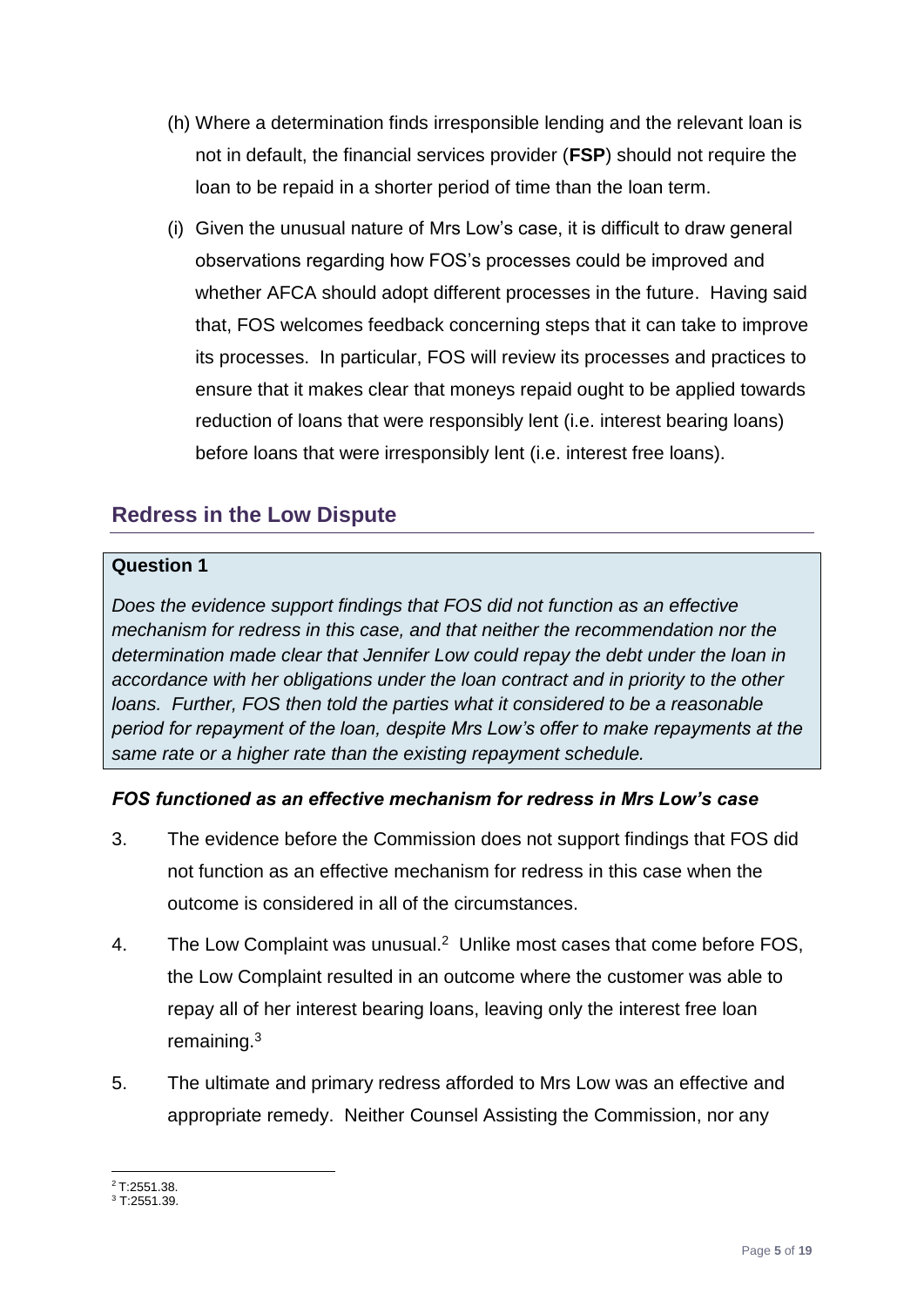- (h) Where a determination finds irresponsible lending and the relevant loan is not in default, the financial services provider (**FSP**) should not require the loan to be repaid in a shorter period of time than the loan term.
- (i) Given the unusual nature of Mrs Low's case, it is difficult to draw general observations regarding how FOS's processes could be improved and whether AFCA should adopt different processes in the future. Having said that, FOS welcomes feedback concerning steps that it can take to improve its processes. In particular, FOS will review its processes and practices to ensure that it makes clear that moneys repaid ought to be applied towards reduction of loans that were responsibly lent (i.e. interest bearing loans) before loans that were irresponsibly lent (i.e. interest free loans).

# <span id="page-4-0"></span>**Redress in the Low Dispute**

#### **Question 1**

*Does the evidence support findings that FOS did not function as an effective mechanism for redress in this case, and that neither the recommendation nor the determination made clear that Jennifer Low could repay the debt under the loan in accordance with her obligations under the loan contract and in priority to the other loans. Further, FOS then told the parties what it considered to be a reasonable period for repayment of the loan, despite Mrs Low's offer to make repayments at the same rate or a higher rate than the existing repayment schedule.*

## *FOS functioned as an effective mechanism for redress in Mrs Low's case*

- 3. The evidence before the Commission does not support findings that FOS did not function as an effective mechanism for redress in this case when the outcome is considered in all of the circumstances.
- 4. The Low Complaint was unusual.<sup>2</sup> Unlike most cases that come before FOS, the Low Complaint resulted in an outcome where the customer was able to repay all of her interest bearing loans, leaving only the interest free loan remaining.<sup>3</sup>
- 5. The ultimate and primary redress afforded to Mrs Low was an effective and appropriate remedy. Neither Counsel Assisting the Commission, nor any

1 <sup>2</sup> T:2551.38.

<sup>3</sup> T:2551.39.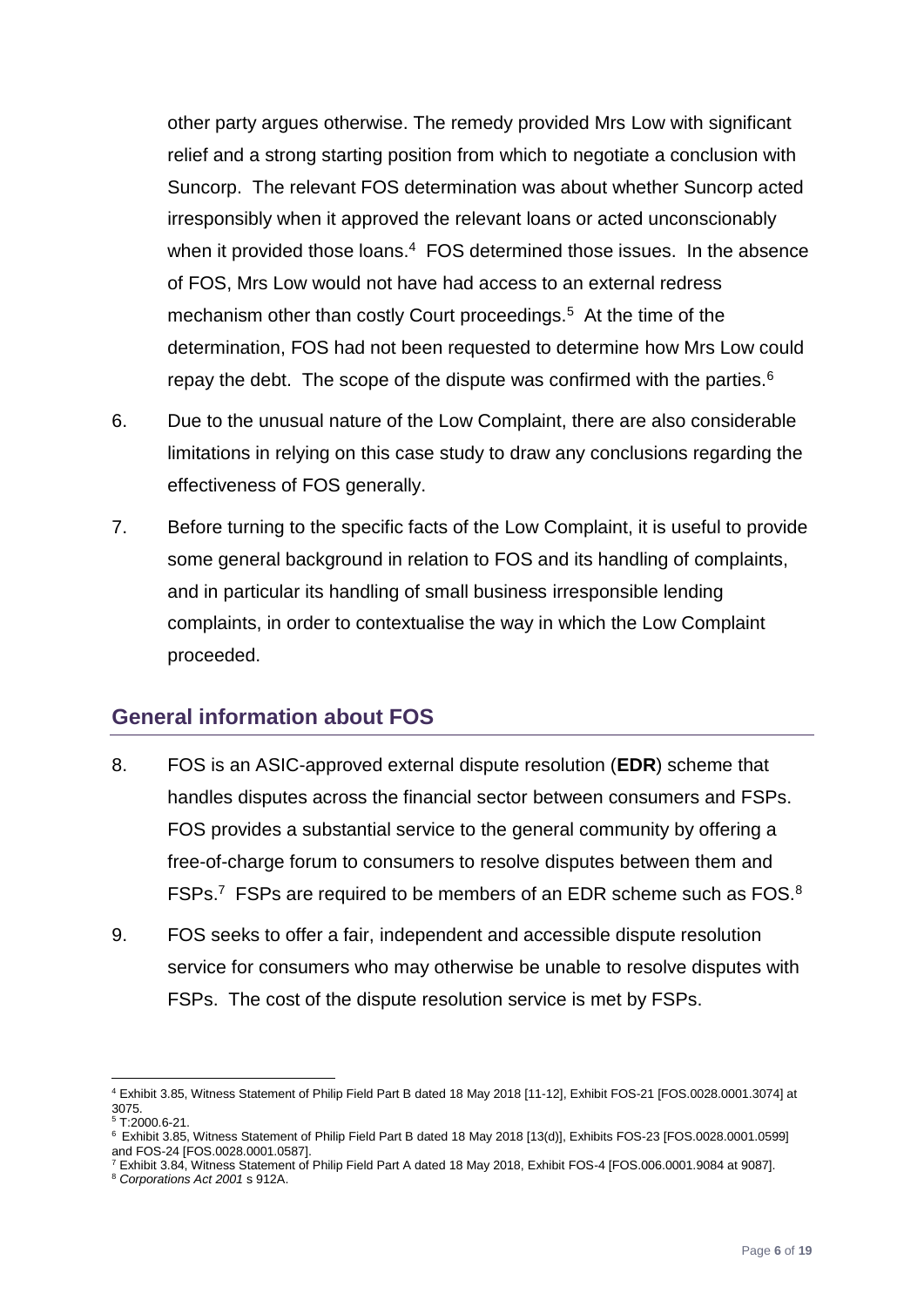other party argues otherwise. The remedy provided Mrs Low with significant relief and a strong starting position from which to negotiate a conclusion with Suncorp. The relevant FOS determination was about whether Suncorp acted irresponsibly when it approved the relevant loans or acted unconscionably when it provided those loans. $4$  FOS determined those issues. In the absence of FOS, Mrs Low would not have had access to an external redress mechanism other than costly Court proceedings.<sup>5</sup> At the time of the determination, FOS had not been requested to determine how Mrs Low could repay the debt. The scope of the dispute was confirmed with the parties. $6$ 

- 6. Due to the unusual nature of the Low Complaint, there are also considerable limitations in relying on this case study to draw any conclusions regarding the effectiveness of FOS generally.
- 7. Before turning to the specific facts of the Low Complaint, it is useful to provide some general background in relation to FOS and its handling of complaints, and in particular its handling of small business irresponsible lending complaints, in order to contextualise the way in which the Low Complaint proceeded.

## <span id="page-5-0"></span>**General information about FOS**

- 8. FOS is an ASIC-approved external dispute resolution (**EDR**) scheme that handles disputes across the financial sector between consumers and FSPs. FOS provides a substantial service to the general community by offering a free-of-charge forum to consumers to resolve disputes between them and FSPs.<sup>7</sup> FSPs are required to be members of an EDR scheme such as FOS. $8$
- 9. FOS seeks to offer a fair, independent and accessible dispute resolution service for consumers who may otherwise be unable to resolve disputes with FSPs. The cost of the dispute resolution service is met by FSPs.

<u>.</u>

<sup>4</sup> Exhibit 3.85, Witness Statement of Philip Field Part B dated 18 May 2018 [11-12], Exhibit FOS-21 [FOS.0028.0001.3074] at 3075.

 $\frac{5}{1}$  T:2000.6-21.

<sup>6</sup> Exhibit 3.85, Witness Statement of Philip Field Part B dated 18 May 2018 [13(d)], Exhibits FOS-23 [FOS.0028.0001.0599] and FOS-24 [FOS.0028.0001.0587].

<sup>7</sup> Exhibit 3.84, Witness Statement of Philip Field Part A dated 18 May 2018, Exhibit FOS-4 [FOS.006.0001.9084 at 9087].

<sup>8</sup> *Corporations Act 2001* s 912A.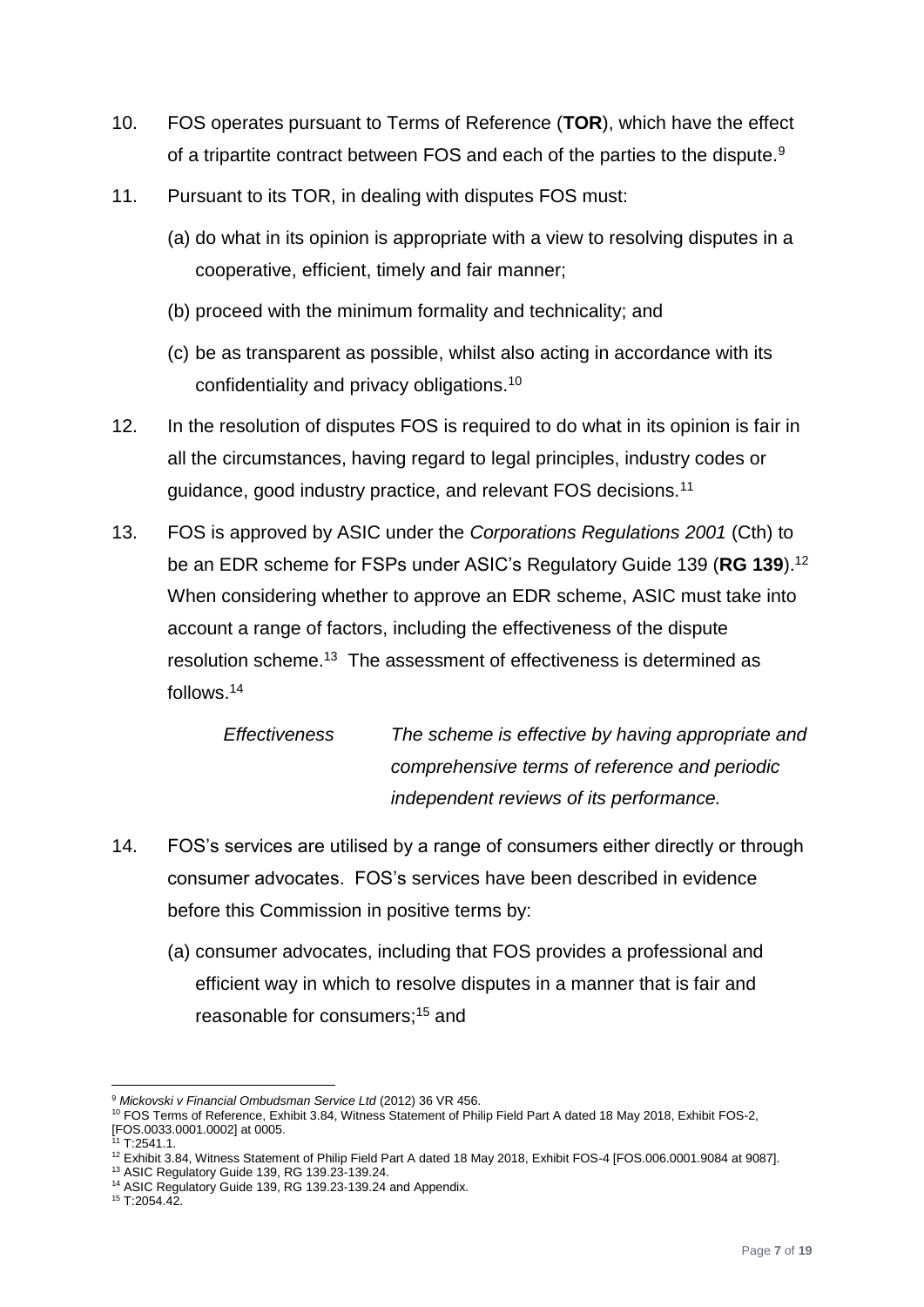- 10. FOS operates pursuant to Terms of Reference (**TOR**), which have the effect of a tripartite contract between FOS and each of the parties to the dispute.<sup>9</sup>
- 11. Pursuant to its TOR, in dealing with disputes FOS must:
	- (a) do what in its opinion is appropriate with a view to resolving disputes in a cooperative, efficient, timely and fair manner;
	- (b) proceed with the minimum formality and technicality; and
	- (c) be as transparent as possible, whilst also acting in accordance with its confidentiality and privacy obligations.<sup>10</sup>
- 12. In the resolution of disputes FOS is required to do what in its opinion is fair in all the circumstances, having regard to legal principles, industry codes or guidance, good industry practice, and relevant FOS decisions.<sup>11</sup>
- 13. FOS is approved by ASIC under the *Corporations Regulations 2001* (Cth) to be an EDR scheme for FSPs under ASIC's Regulatory Guide 139 (**RG 139**).<sup>12</sup> When considering whether to approve an EDR scheme, ASIC must take into account a range of factors, including the effectiveness of the dispute resolution scheme.<sup>13</sup> The assessment of effectiveness is determined as follows.<sup>14</sup>

*Effectiveness The scheme is effective by having appropriate and comprehensive terms of reference and periodic independent reviews of its performance.*

- 14. FOS's services are utilised by a range of consumers either directly or through consumer advocates. FOS's services have been described in evidence before this Commission in positive terms by:
	- (a) consumer advocates, including that FOS provides a professional and efficient way in which to resolve disputes in a manner that is fair and reasonable for consumers;<sup>15</sup> and

1

<sup>9</sup> *Mickovski v Financial Ombudsman Service Ltd* (2012) 36 VR 456.

<sup>10</sup> FOS Terms of Reference, Exhibit 3.84, Witness Statement of Philip Field Part A dated 18 May 2018, Exhibit FOS-2, [FOS.0033.0001.0002] at 0005.

 $1$  T:2541.1.

<sup>12</sup> Exhibit 3.84, Witness Statement of Philip Field Part A dated 18 May 2018, Exhibit FOS-4 [FOS.006.0001.9084 at 9087].

<sup>13</sup> ASIC Regulatory Guide 139, RG 139.23-139.24.

<sup>14</sup> ASIC Regulatory Guide 139, RG 139.23-139.24 and Appendix.

<sup>15</sup> T:2054.42.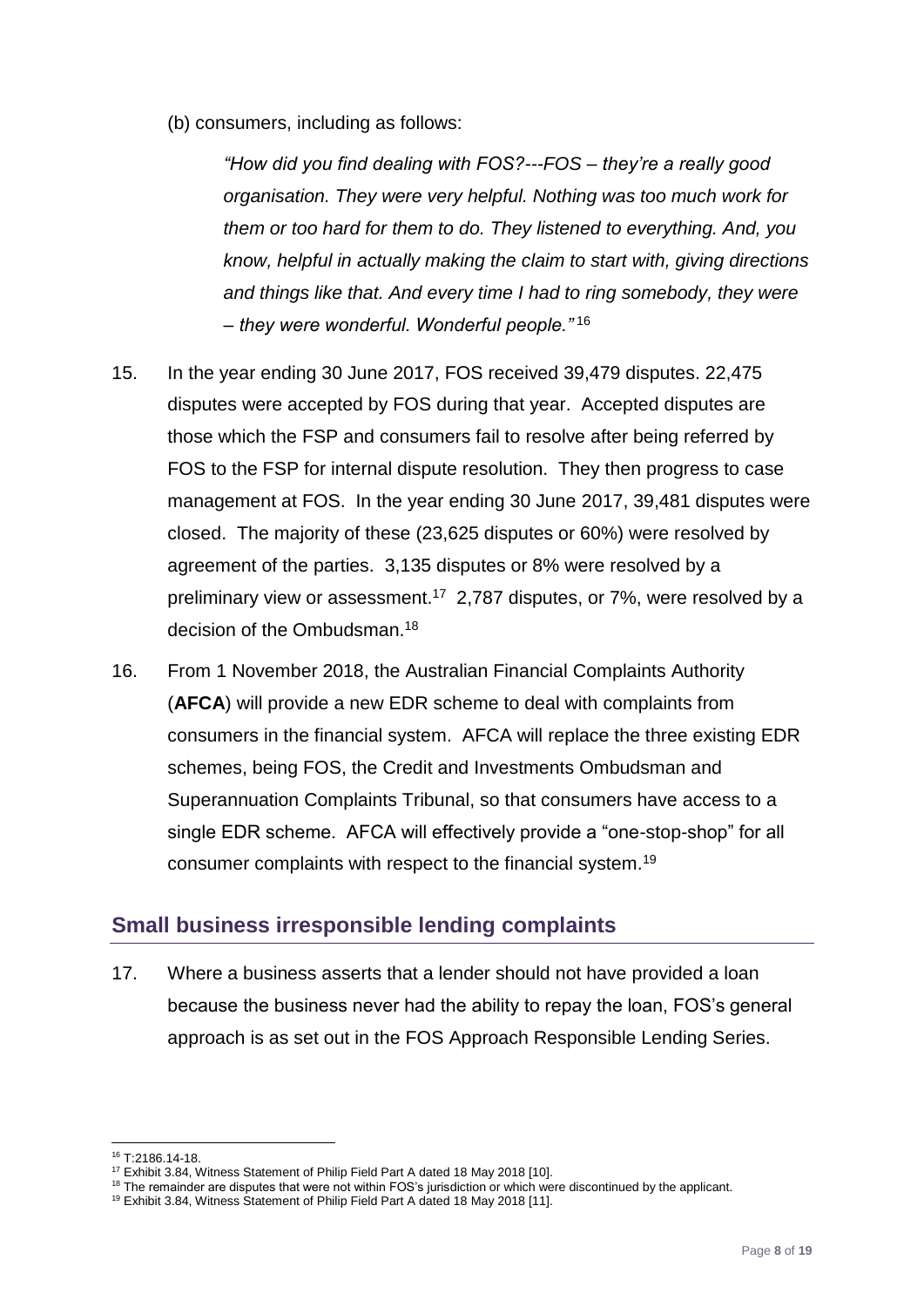(b) consumers, including as follows:

*"How did you find dealing with FOS?---FOS – they're a really good organisation. They were very helpful. Nothing was too much work for them or too hard for them to do. They listened to everything. And, you know, helpful in actually making the claim to start with, giving directions and things like that. And every time I had to ring somebody, they were – they were wonderful. Wonderful people."* <sup>16</sup>

- 15. In the year ending 30 June 2017, FOS received 39,479 disputes. 22,475 disputes were accepted by FOS during that year. Accepted disputes are those which the FSP and consumers fail to resolve after being referred by FOS to the FSP for internal dispute resolution. They then progress to case management at FOS. In the year ending 30 June 2017, 39,481 disputes were closed. The majority of these (23,625 disputes or 60%) were resolved by agreement of the parties. 3,135 disputes or 8% were resolved by a preliminary view or assessment.<sup>17</sup> 2,787 disputes, or 7%, were resolved by a decision of the Ombudsman.<sup>18</sup>
- 16. From 1 November 2018, the Australian Financial Complaints Authority (**AFCA**) will provide a new EDR scheme to deal with complaints from consumers in the financial system. AFCA will replace the three existing EDR schemes, being FOS, the Credit and Investments Ombudsman and Superannuation Complaints Tribunal, so that consumers have access to a single EDR scheme. AFCA will effectively provide a "one-stop-shop" for all consumer complaints with respect to the financial system.<sup>19</sup>

## <span id="page-7-0"></span>**Small business irresponsible lending complaints**

17. Where a business asserts that a lender should not have provided a loan because the business never had the ability to repay the loan, FOS's general approach is as set out in the FOS Approach Responsible Lending Series.

<sup>1</sup> <sup>16</sup> T:2186.14-18.

<sup>&</sup>lt;sup>17</sup> Exhibit 3.84, Witness Statement of Philip Field Part A dated 18 May 2018 [10].

<sup>&</sup>lt;sup>18</sup> The remainder are disputes that were not within FOS's jurisdiction or which were discontinued by the applicant.

<sup>&</sup>lt;sup>19</sup> Exhibit 3.84, Witness Statement of Philip Field Part A dated 18 May 2018 [11].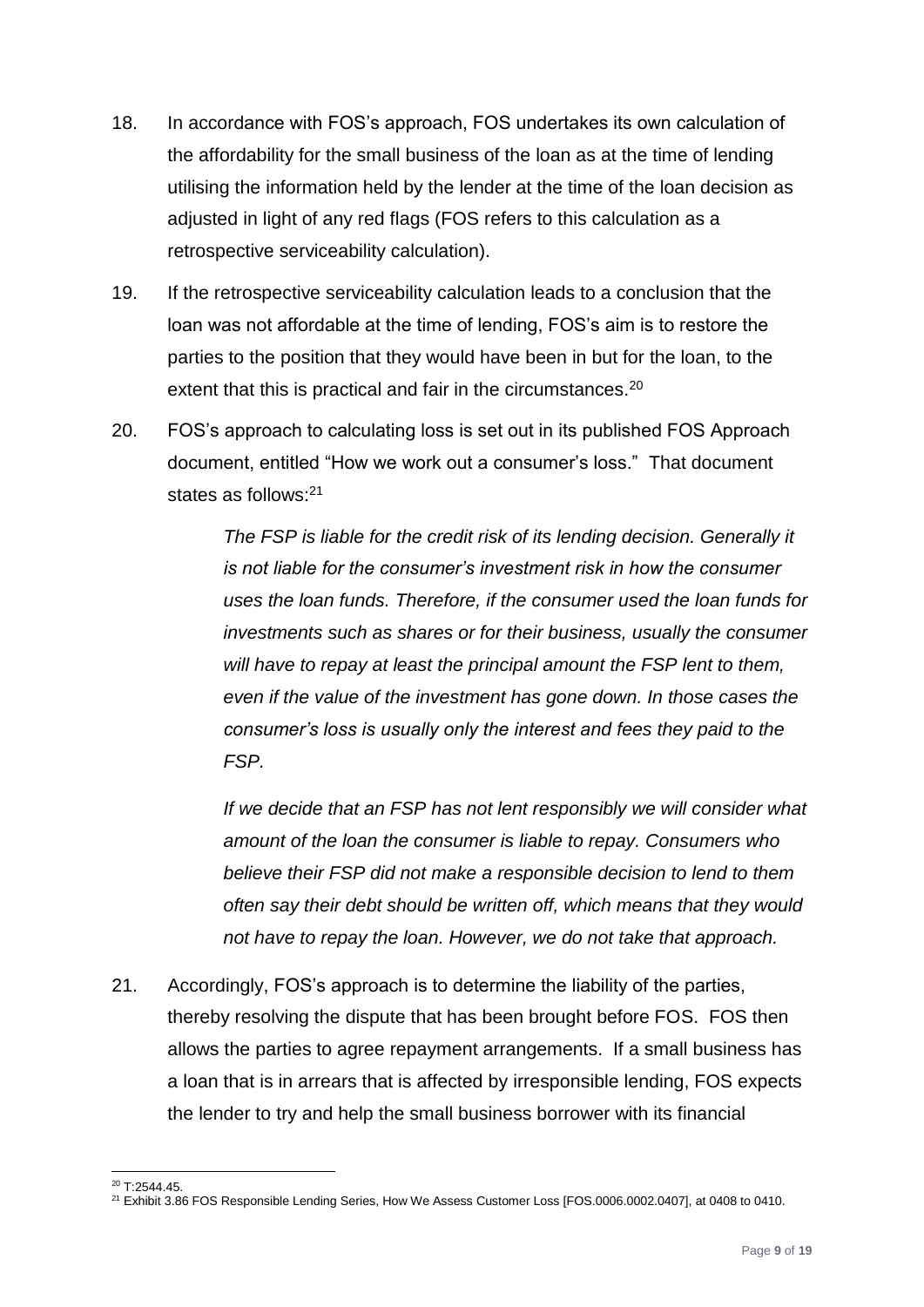- 18. In accordance with FOS's approach, FOS undertakes its own calculation of the affordability for the small business of the loan as at the time of lending utilising the information held by the lender at the time of the loan decision as adjusted in light of any red flags (FOS refers to this calculation as a retrospective serviceability calculation).
- 19. If the retrospective serviceability calculation leads to a conclusion that the loan was not affordable at the time of lending, FOS's aim is to restore the parties to the position that they would have been in but for the loan, to the extent that this is practical and fair in the circumstances.<sup>20</sup>
- 20. FOS's approach to calculating loss is set out in its published FOS Approach document, entitled "How we work out a consumer's loss." That document states as follows:<sup>21</sup>

*The FSP is liable for the credit risk of its lending decision. Generally it is not liable for the consumer's investment risk in how the consumer uses the loan funds. Therefore, if the consumer used the loan funds for investments such as shares or for their business, usually the consumer will have to repay at least the principal amount the FSP lent to them, even if the value of the investment has gone down. In those cases the consumer's loss is usually only the interest and fees they paid to the FSP.*

*If we decide that an FSP has not lent responsibly we will consider what amount of the loan the consumer is liable to repay. Consumers who believe their FSP did not make a responsible decision to lend to them often say their debt should be written off, which means that they would not have to repay the loan. However, we do not take that approach.*

21. Accordingly, FOS's approach is to determine the liability of the parties, thereby resolving the dispute that has been brought before FOS. FOS then allows the parties to agree repayment arrangements. If a small business has a loan that is in arrears that is affected by irresponsible lending, FOS expects the lender to try and help the small business borrower with its financial

<sup>1</sup> <sup>20</sup> T:2544.45.

<sup>21</sup> Exhibit 3.86 FOS Responsible Lending Series, How We Assess Customer Loss [FOS.0006.0002.0407], at 0408 to 0410.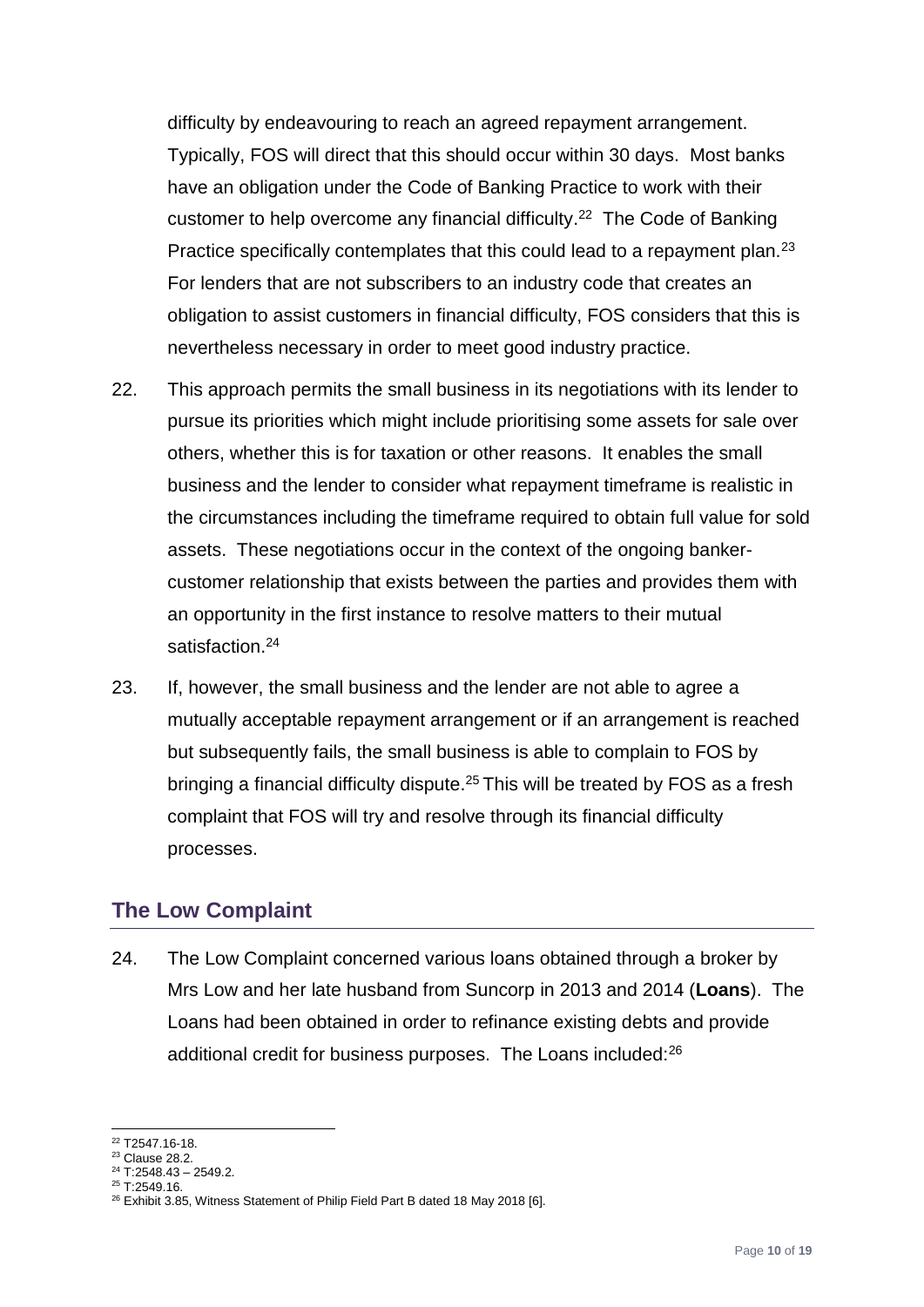difficulty by endeavouring to reach an agreed repayment arrangement. Typically, FOS will direct that this should occur within 30 days. Most banks have an obligation under the Code of Banking Practice to work with their customer to help overcome any financial difficulty. 22 The Code of Banking Practice specifically contemplates that this could lead to a repayment plan.<sup>23</sup> For lenders that are not subscribers to an industry code that creates an obligation to assist customers in financial difficulty, FOS considers that this is nevertheless necessary in order to meet good industry practice.

- 22. This approach permits the small business in its negotiations with its lender to pursue its priorities which might include prioritising some assets for sale over others, whether this is for taxation or other reasons. It enables the small business and the lender to consider what repayment timeframe is realistic in the circumstances including the timeframe required to obtain full value for sold assets. These negotiations occur in the context of the ongoing bankercustomer relationship that exists between the parties and provides them with an opportunity in the first instance to resolve matters to their mutual satisfaction.<sup>24</sup>
- 23. If, however, the small business and the lender are not able to agree a mutually acceptable repayment arrangement or if an arrangement is reached but subsequently fails, the small business is able to complain to FOS by bringing a financial difficulty dispute.<sup>25</sup> This will be treated by FOS as a fresh complaint that FOS will try and resolve through its financial difficulty processes.

## <span id="page-9-0"></span>**The Low Complaint**

24. The Low Complaint concerned various loans obtained through a broker by Mrs Low and her late husband from Suncorp in 2013 and 2014 (**Loans**). The Loans had been obtained in order to refinance existing debts and provide additional credit for business purposes. The Loans included:<sup>26</sup>

<sup>&</sup>lt;u>.</u> <sup>22</sup> T2547.16-18.

<sup>23</sup> Clause 28.2.

 $24$  T:2548.43 - 2549.2.

 $25$  T:2549.16.

<sup>&</sup>lt;sup>26</sup> Exhibit 3.85, Witness Statement of Philip Field Part B dated 18 May 2018 [6].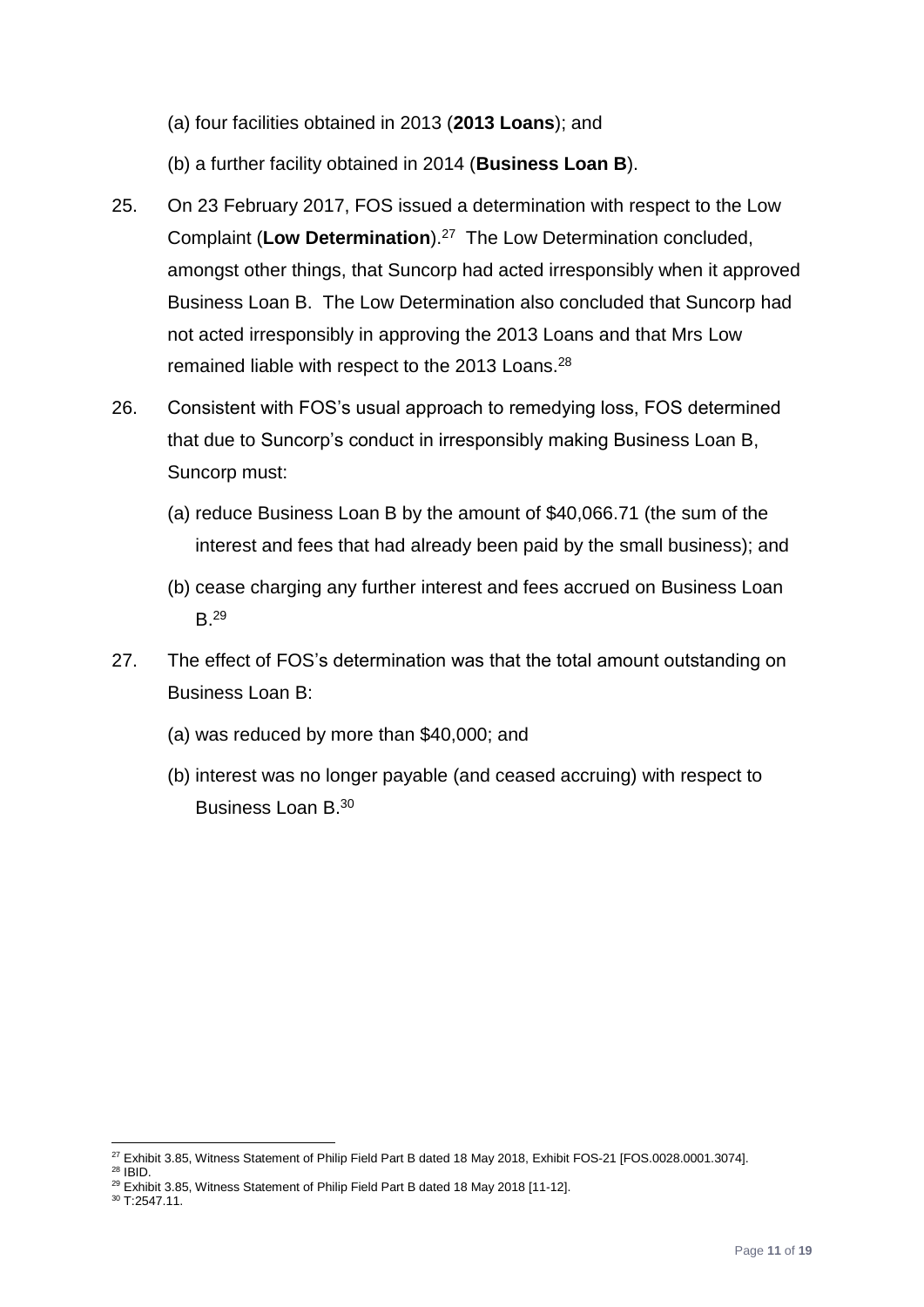- (a) four facilities obtained in 2013 (**2013 Loans**); and
- (b) a further facility obtained in 2014 (**Business Loan B**).
- 25. On 23 February 2017, FOS issued a determination with respect to the Low Complaint (**Low Determination**).<sup>27</sup> The Low Determination concluded, amongst other things, that Suncorp had acted irresponsibly when it approved Business Loan B. The Low Determination also concluded that Suncorp had not acted irresponsibly in approving the 2013 Loans and that Mrs Low remained liable with respect to the 2013 Loans.<sup>28</sup>
- 26. Consistent with FOS's usual approach to remedying loss, FOS determined that due to Suncorp's conduct in irresponsibly making Business Loan B, Suncorp must:
	- (a) reduce Business Loan B by the amount of \$40,066.71 (the sum of the interest and fees that had already been paid by the small business); and
	- (b) cease charging any further interest and fees accrued on Business Loan B.<sup>29</sup>
- 27. The effect of FOS's determination was that the total amount outstanding on Business Loan B:
	- (a) was reduced by more than \$40,000; and
	- (b) interest was no longer payable (and ceased accruing) with respect to Business Loan B.<sup>30</sup>

<sup>1</sup>  $^{27}$  Exhibit 3.85, Witness Statement of Philip Field Part B dated 18 May 2018, Exhibit FOS-21 [FOS.0028.0001.3074].

<sup>28</sup> IBID.

<sup>&</sup>lt;sup>29</sup> Exhibit 3.85, Witness Statement of Philip Field Part B dated 18 May 2018 [11-12].

<sup>30</sup> T:2547.11.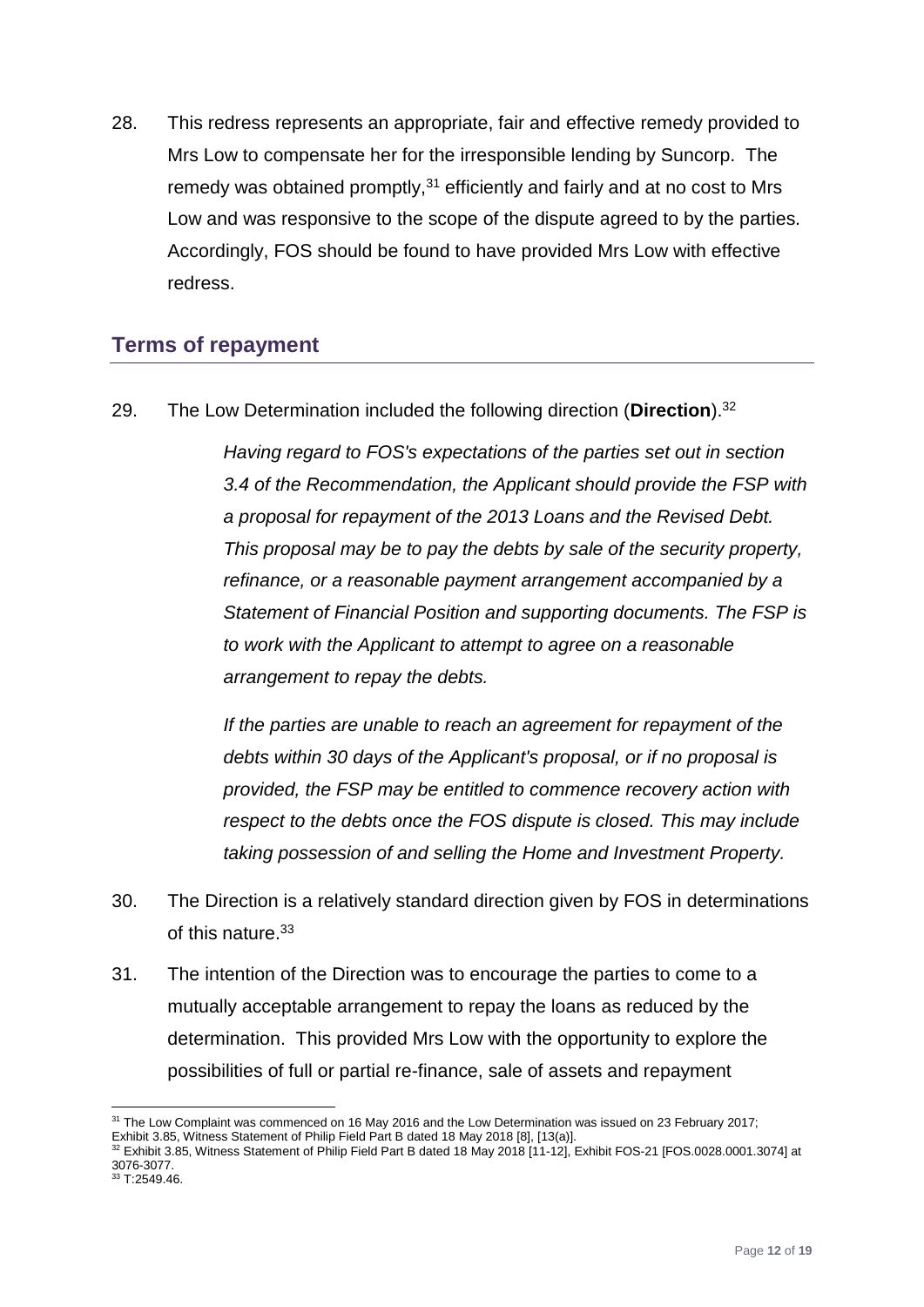28. This redress represents an appropriate, fair and effective remedy provided to Mrs Low to compensate her for the irresponsible lending by Suncorp. The remedy was obtained promptly,<sup>31</sup> efficiently and fairly and at no cost to Mrs Low and was responsive to the scope of the dispute agreed to by the parties. Accordingly, FOS should be found to have provided Mrs Low with effective redress.

# <span id="page-11-0"></span>**Terms of repayment**

29. The Low Determination included the following direction (**Direction**).<sup>32</sup>

*Having regard to FOS's expectations of the parties set out in section 3.4 of the Recommendation, the Applicant should provide the FSP with a proposal for repayment of the 2013 Loans and the Revised Debt. This proposal may be to pay the debts by sale of the security property, refinance, or a reasonable payment arrangement accompanied by a Statement of Financial Position and supporting documents. The FSP is to work with the Applicant to attempt to agree on a reasonable arrangement to repay the debts.*

*If the parties are unable to reach an agreement for repayment of the debts within 30 days of the Applicant's proposal, or if no proposal is provided, the FSP may be entitled to commence recovery action with respect to the debts once the FOS dispute is closed. This may include taking possession of and selling the Home and Investment Property.*

- 30. The Direction is a relatively standard direction given by FOS in determinations of this nature.<sup>33</sup>
- 31. The intention of the Direction was to encourage the parties to come to a mutually acceptable arrangement to repay the loans as reduced by the determination. This provided Mrs Low with the opportunity to explore the possibilities of full or partial re-finance, sale of assets and repayment

 $\overline{a}$ <sup>31</sup> The Low Complaint was commenced on 16 May 2016 and the Low Determination was issued on 23 February 2017; Exhibit 3.85, Witness Statement of Philip Field Part B dated 18 May 2018 [8], [13(a)].

<sup>32</sup> Exhibit 3.85, Witness Statement of Philip Field Part B dated 18 May 2018 [11-12], Exhibit FOS-21 [FOS.0028.0001.3074] at 3076-3077.

 $33$  T:2549.46.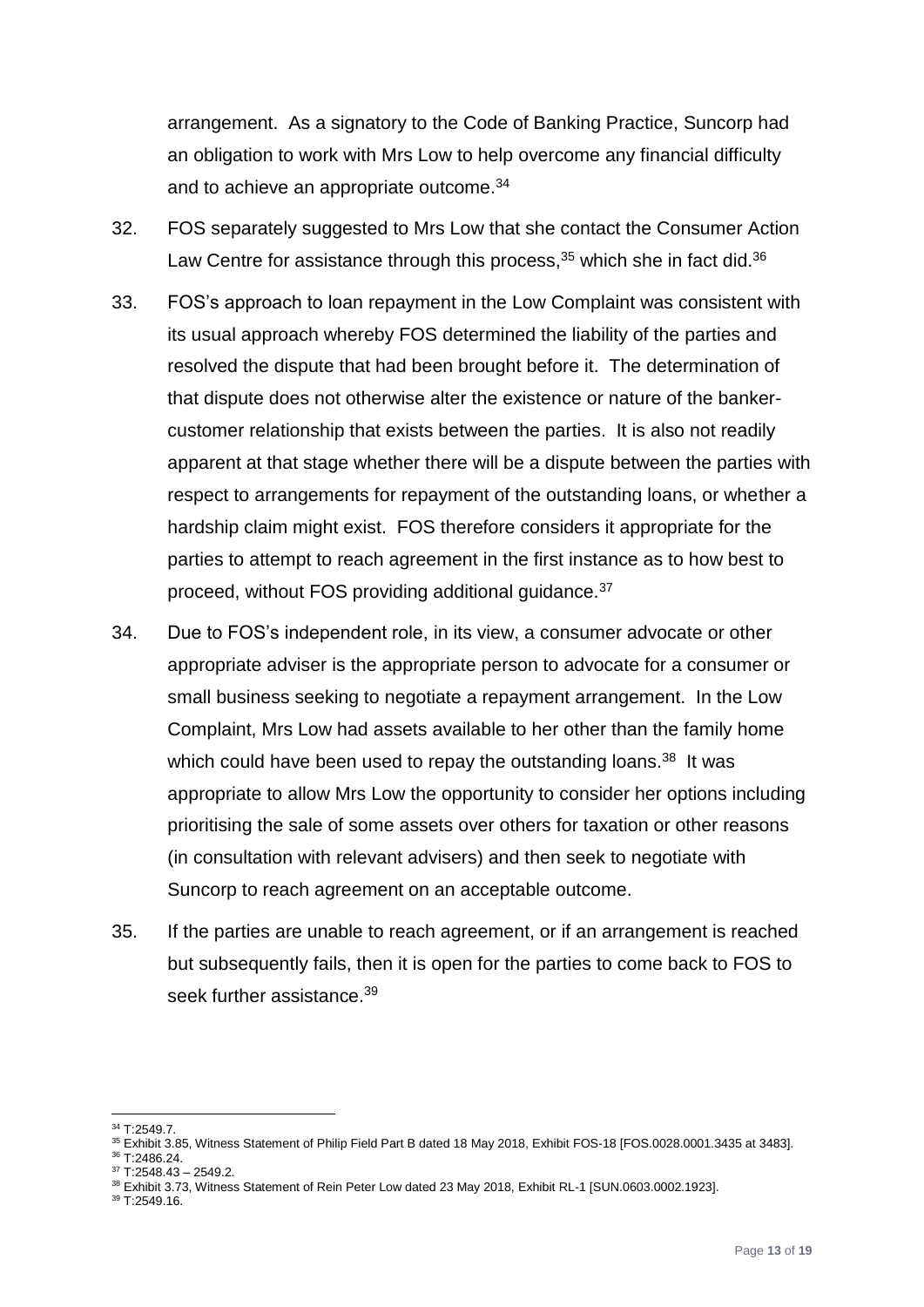arrangement. As a signatory to the Code of Banking Practice, Suncorp had an obligation to work with Mrs Low to help overcome any financial difficulty and to achieve an appropriate outcome.<sup>34</sup>

- 32. FOS separately suggested to Mrs Low that she contact the Consumer Action Law Centre for assistance through this process, $35$  which she in fact did. $36$
- 33. FOS's approach to loan repayment in the Low Complaint was consistent with its usual approach whereby FOS determined the liability of the parties and resolved the dispute that had been brought before it. The determination of that dispute does not otherwise alter the existence or nature of the bankercustomer relationship that exists between the parties. It is also not readily apparent at that stage whether there will be a dispute between the parties with respect to arrangements for repayment of the outstanding loans, or whether a hardship claim might exist. FOS therefore considers it appropriate for the parties to attempt to reach agreement in the first instance as to how best to proceed, without FOS providing additional guidance. 37
- 34. Due to FOS's independent role, in its view, a consumer advocate or other appropriate adviser is the appropriate person to advocate for a consumer or small business seeking to negotiate a repayment arrangement. In the Low Complaint, Mrs Low had assets available to her other than the family home which could have been used to repay the outstanding loans.<sup>38</sup> It was appropriate to allow Mrs Low the opportunity to consider her options including prioritising the sale of some assets over others for taxation or other reasons (in consultation with relevant advisers) and then seek to negotiate with Suncorp to reach agreement on an acceptable outcome.
- 35. If the parties are unable to reach agreement, or if an arrangement is reached but subsequently fails, then it is open for the parties to come back to FOS to seek further assistance.<sup>39</sup>

<sup>1</sup> <sup>34</sup> T:2549.7.

<sup>35</sup> Exhibit 3.85, Witness Statement of Philip Field Part B dated 18 May 2018, Exhibit FOS-18 [FOS.0028.0001.3435 at 3483].

<sup>36</sup> T:2486.24.  $37$  T:2548.43 – 2549.2.

<sup>38</sup> Exhibit 3.73, Witness Statement of Rein Peter Low dated 23 May 2018, Exhibit RL-1 [SUN.0603.0002.1923].

<sup>39</sup> T:2549.16.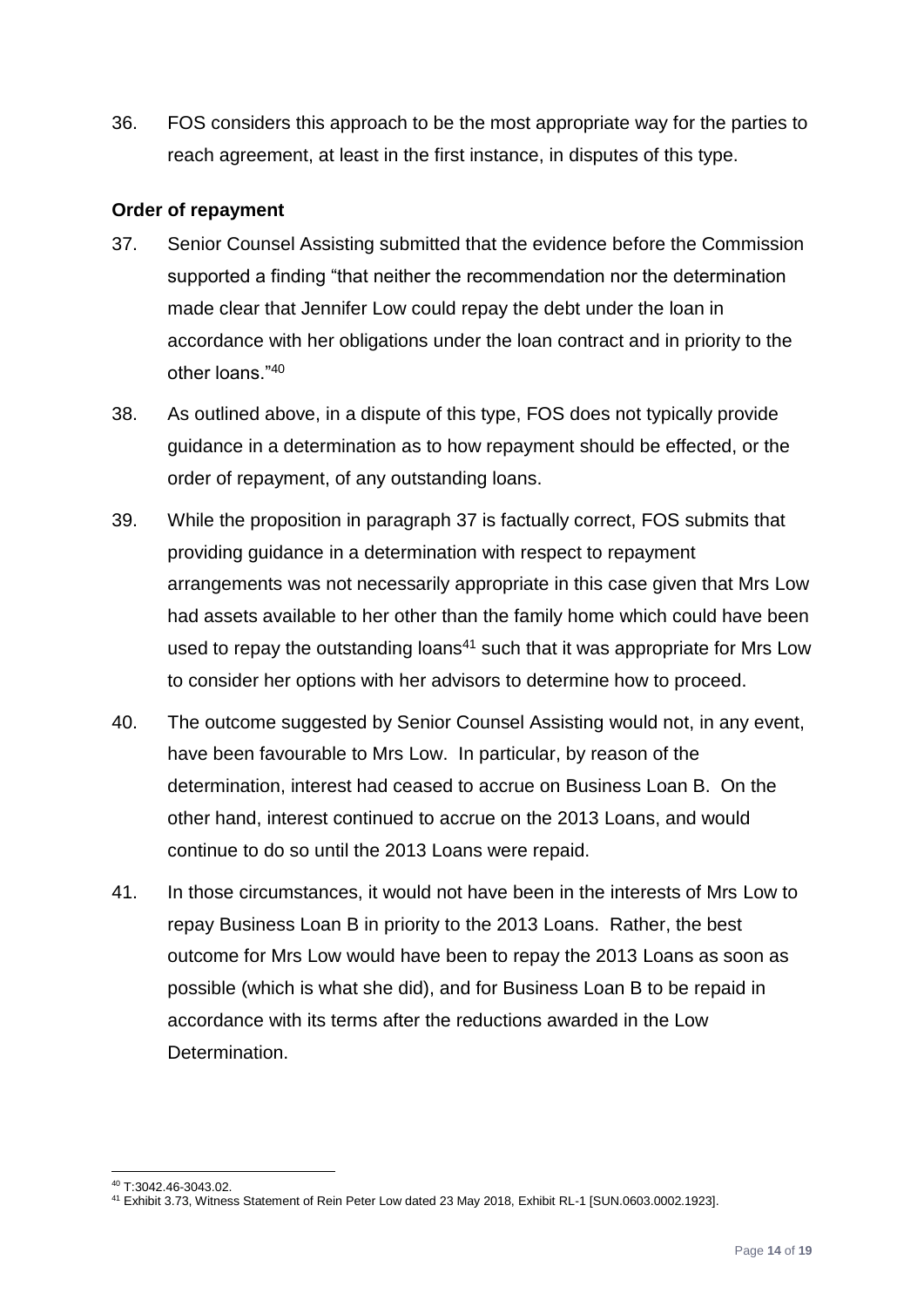36. FOS considers this approach to be the most appropriate way for the parties to reach agreement, at least in the first instance, in disputes of this type.

## <span id="page-13-0"></span>**Order of repayment**

- <span id="page-13-1"></span>37. Senior Counsel Assisting submitted that the evidence before the Commission supported a finding "that neither the recommendation nor the determination made clear that Jennifer Low could repay the debt under the loan in accordance with her obligations under the loan contract and in priority to the other loans."<sup>40</sup>
- 38. As outlined above, in a dispute of this type, FOS does not typically provide guidance in a determination as to how repayment should be effected, or the order of repayment, of any outstanding loans.
- 39. While the proposition in paragraph [37](#page-13-1) is factually correct, FOS submits that providing guidance in a determination with respect to repayment arrangements was not necessarily appropriate in this case given that Mrs Low had assets available to her other than the family home which could have been used to repay the outstanding loans<sup>41</sup> such that it was appropriate for Mrs Low to consider her options with her advisors to determine how to proceed.
- 40. The outcome suggested by Senior Counsel Assisting would not, in any event, have been favourable to Mrs Low. In particular, by reason of the determination, interest had ceased to accrue on Business Loan B. On the other hand, interest continued to accrue on the 2013 Loans, and would continue to do so until the 2013 Loans were repaid.
- 41. In those circumstances, it would not have been in the interests of Mrs Low to repay Business Loan B in priority to the 2013 Loans. Rather, the best outcome for Mrs Low would have been to repay the 2013 Loans as soon as possible (which is what she did), and for Business Loan B to be repaid in accordance with its terms after the reductions awarded in the Low Determination.

<sup>1</sup> <sup>40</sup> T:3042.46-3043.02.

<sup>41</sup> Exhibit 3.73, Witness Statement of Rein Peter Low dated 23 May 2018, Exhibit RL-1 [SUN.0603.0002.1923].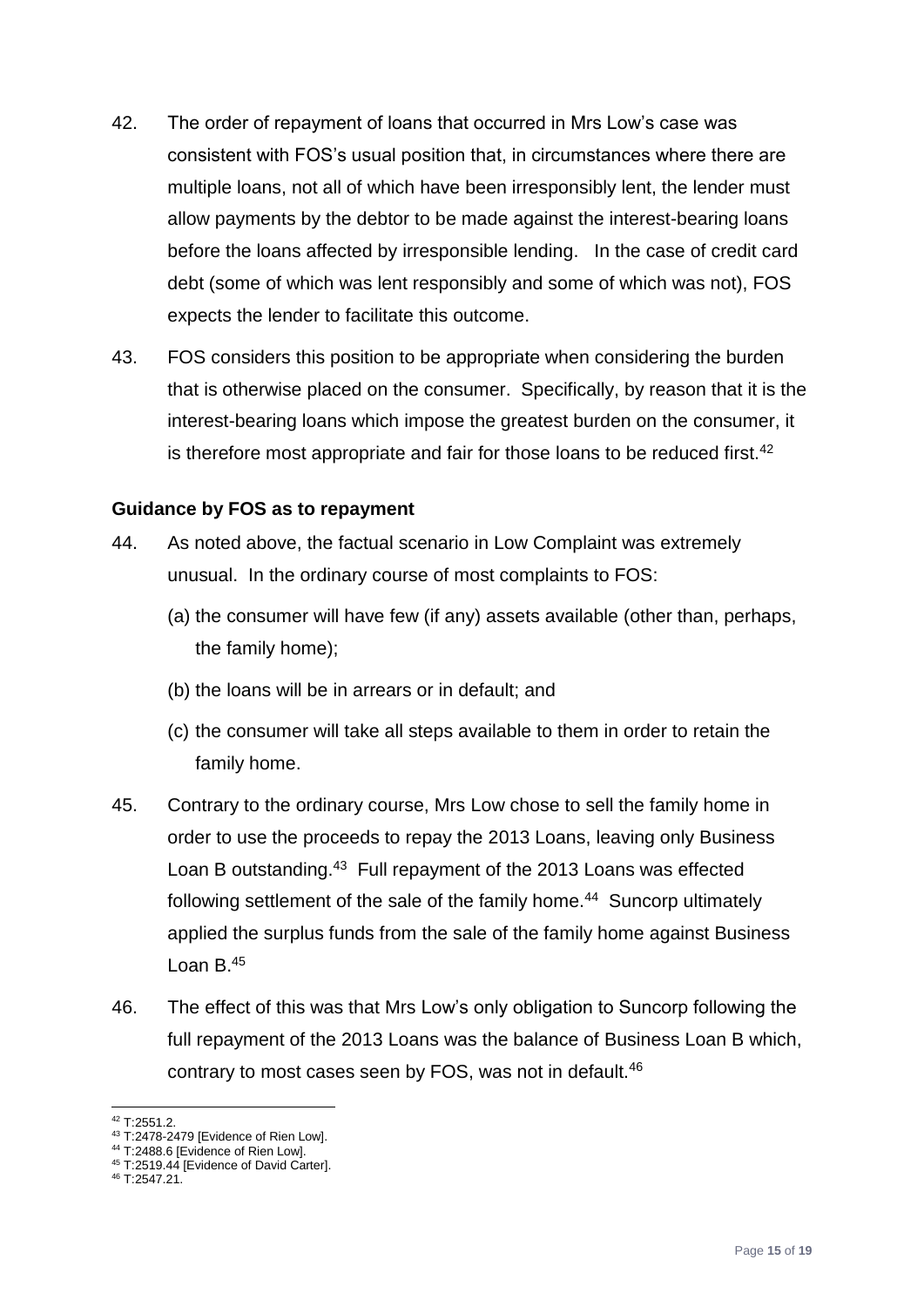- 42. The order of repayment of loans that occurred in Mrs Low's case was consistent with FOS's usual position that, in circumstances where there are multiple loans, not all of which have been irresponsibly lent, the lender must allow payments by the debtor to be made against the interest-bearing loans before the loans affected by irresponsible lending. In the case of credit card debt (some of which was lent responsibly and some of which was not), FOS expects the lender to facilitate this outcome.
- 43. FOS considers this position to be appropriate when considering the burden that is otherwise placed on the consumer. Specifically, by reason that it is the interest-bearing loans which impose the greatest burden on the consumer, it is therefore most appropriate and fair for those loans to be reduced first.<sup>42</sup>

## <span id="page-14-0"></span>**Guidance by FOS as to repayment**

- 44. As noted above, the factual scenario in Low Complaint was extremely unusual. In the ordinary course of most complaints to FOS:
	- (a) the consumer will have few (if any) assets available (other than, perhaps, the family home);
	- (b) the loans will be in arrears or in default; and
	- (c) the consumer will take all steps available to them in order to retain the family home.
- 45. Contrary to the ordinary course, Mrs Low chose to sell the family home in order to use the proceeds to repay the 2013 Loans, leaving only Business Loan B outstanding.<sup>43</sup> Full repayment of the 2013 Loans was effected following settlement of the sale of the family home.<sup>44</sup> Suncorp ultimately applied the surplus funds from the sale of the family home against Business Loan B.<sup>45</sup>
- 46. The effect of this was that Mrs Low's only obligation to Suncorp following the full repayment of the 2013 Loans was the balance of Business Loan B which, contrary to most cases seen by FOS, was not in default.<sup>46</sup>

 $\overline{a}$  $42$  T:2551.2.

<sup>43</sup> T:2478-2479 [Evidence of Rien Low].

<sup>44</sup> T:2488.6 [Evidence of Rien Low].

<sup>45</sup> T:2519.44 [Evidence of David Carter].

<sup>46</sup> T:2547.21.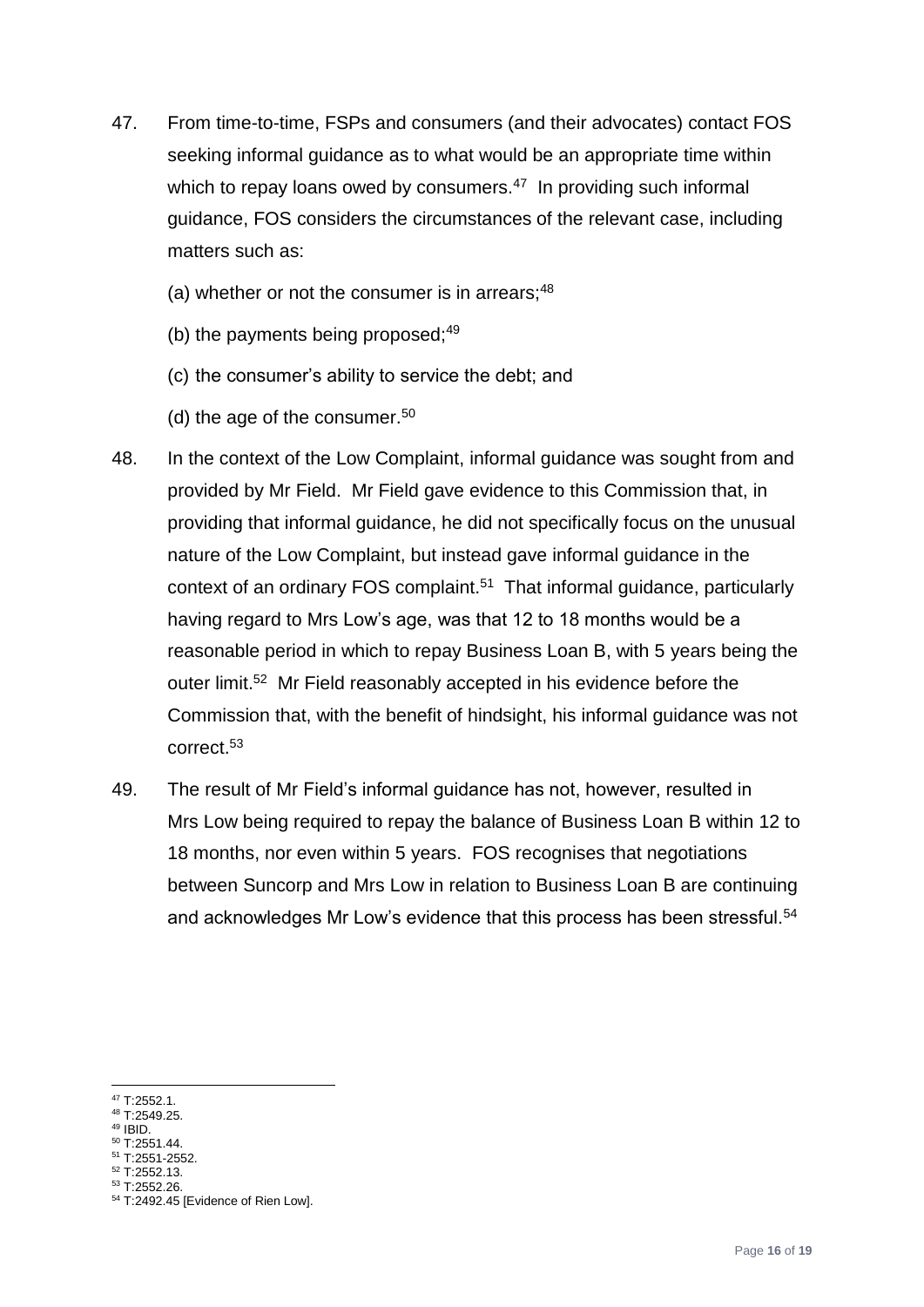- 47. From time-to-time, FSPs and consumers (and their advocates) contact FOS seeking informal guidance as to what would be an appropriate time within which to repay loans owed by consumers. $47$  In providing such informal guidance, FOS considers the circumstances of the relevant case, including matters such as:
	- (a) whether or not the consumer is in arrears; $48$
	- (b) the payments being proposed; $49$
	- (c) the consumer's ability to service the debt; and
	- (d) the age of the consumer.<sup>50</sup>
- 48. In the context of the Low Complaint, informal guidance was sought from and provided by Mr Field. Mr Field gave evidence to this Commission that, in providing that informal guidance, he did not specifically focus on the unusual nature of the Low Complaint, but instead gave informal guidance in the context of an ordinary FOS complaint.<sup>51</sup> That informal guidance, particularly having regard to Mrs Low's age, was that 12 to 18 months would be a reasonable period in which to repay Business Loan B, with 5 years being the outer limit.<sup>52</sup> Mr Field reasonably accepted in his evidence before the Commission that, with the benefit of hindsight, his informal guidance was not correct.<sup>53</sup>
- 49. The result of Mr Field's informal guidance has not, however, resulted in Mrs Low being required to repay the balance of Business Loan B within 12 to 18 months, nor even within 5 years. FOS recognises that negotiations between Suncorp and Mrs Low in relation to Business Loan B are continuing and acknowledges Mr Low's evidence that this process has been stressful.<sup>54</sup>

1

<sup>50</sup> T:2551.44. <sup>51</sup> T:2551-2552.

 $47$  T:2552.1.

<sup>48</sup> T:2549.25.

 $49$  IBID.

<sup>52</sup> T:2552.13.

<sup>53</sup> T:2552.26.

<sup>54</sup> T:2492.45 [Evidence of Rien Low].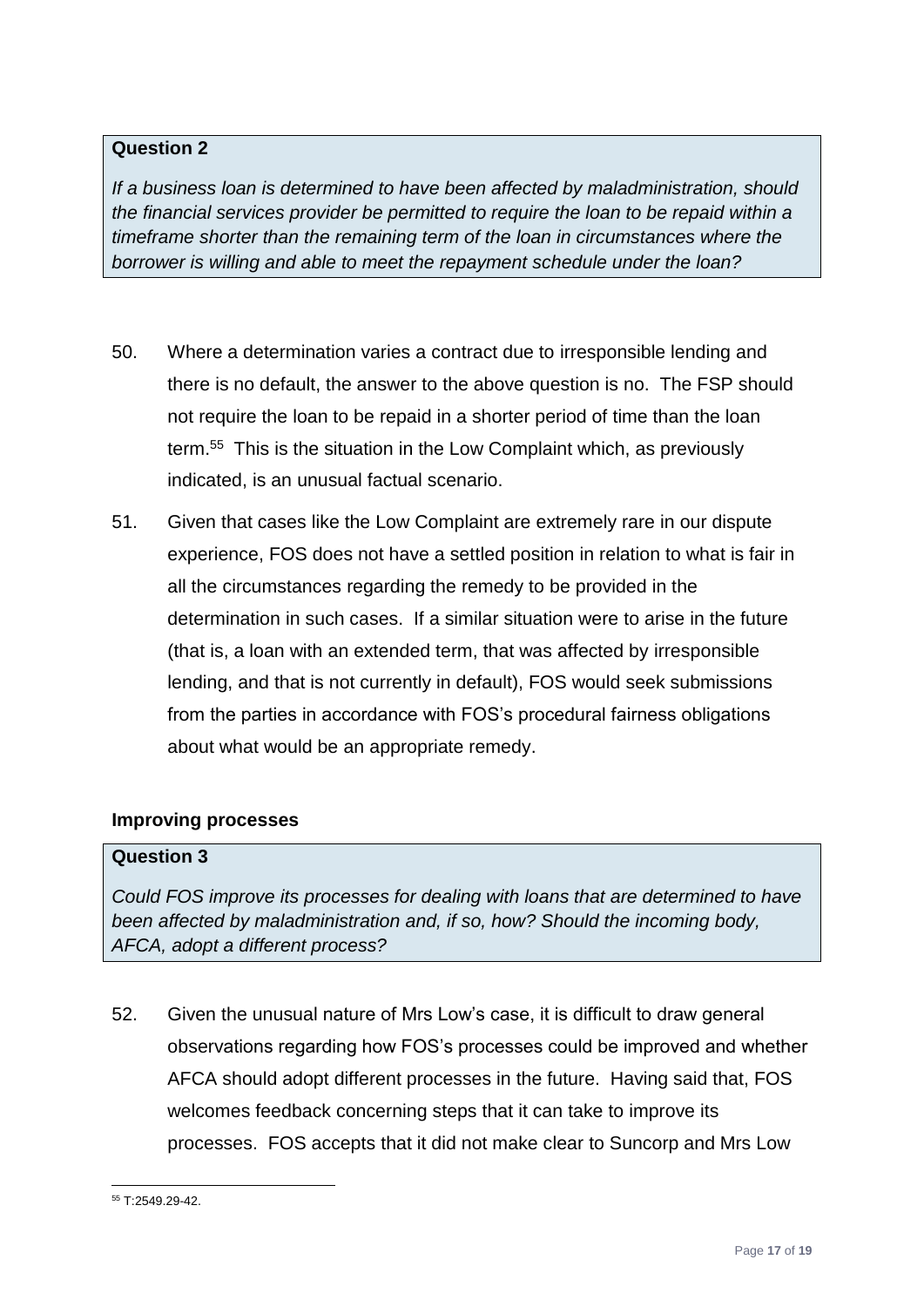## **Question 2**

*If a business loan is determined to have been affected by maladministration, should the financial services provider be permitted to require the loan to be repaid within a timeframe shorter than the remaining term of the loan in circumstances where the borrower is willing and able to meet the repayment schedule under the loan?* 

- 50. Where a determination varies a contract due to irresponsible lending and there is no default, the answer to the above question is no. The FSP should not require the loan to be repaid in a shorter period of time than the loan term.<sup>55</sup> This is the situation in the Low Complaint which, as previously indicated, is an unusual factual scenario.
- 51. Given that cases like the Low Complaint are extremely rare in our dispute experience, FOS does not have a settled position in relation to what is fair in all the circumstances regarding the remedy to be provided in the determination in such cases. If a similar situation were to arise in the future (that is, a loan with an extended term, that was affected by irresponsible lending, and that is not currently in default), FOS would seek submissions from the parties in accordance with FOS's procedural fairness obligations about what would be an appropriate remedy.

## <span id="page-16-0"></span>**Improving processes**

## **Question 3**

*Could FOS improve its processes for dealing with loans that are determined to have been affected by maladministration and, if so, how? Should the incoming body, AFCA, adopt a different process?*

52. Given the unusual nature of Mrs Low's case, it is difficult to draw general observations regarding how FOS's processes could be improved and whether AFCA should adopt different processes in the future. Having said that, FOS welcomes feedback concerning steps that it can take to improve its processes. FOS accepts that it did not make clear to Suncorp and Mrs Low

<sup>1</sup> <sup>55</sup> T:2549.29-42.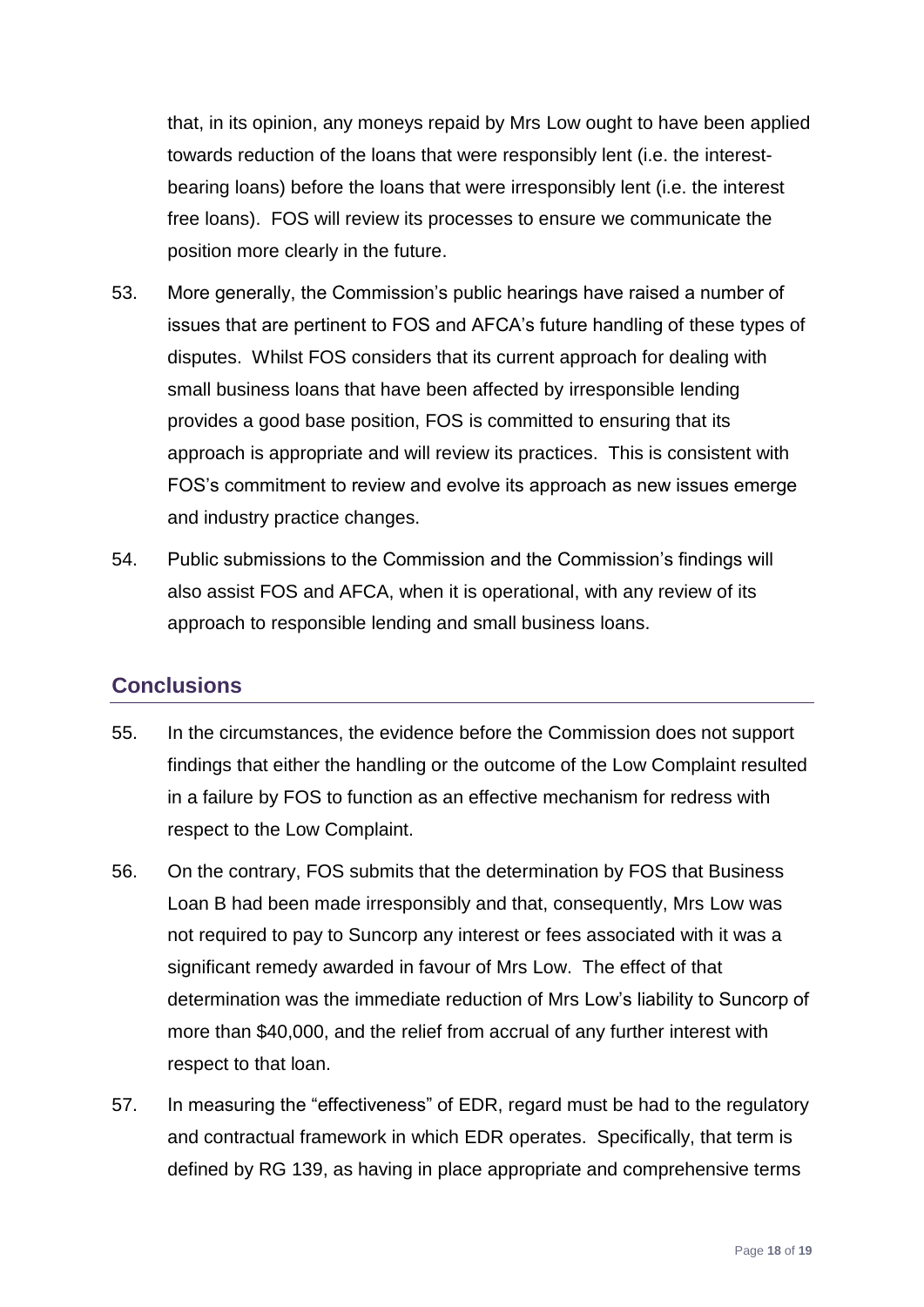that, in its opinion, any moneys repaid by Mrs Low ought to have been applied towards reduction of the loans that were responsibly lent (i.e. the interestbearing loans) before the loans that were irresponsibly lent (i.e. the interest free loans). FOS will review its processes to ensure we communicate the position more clearly in the future.

- 53. More generally, the Commission's public hearings have raised a number of issues that are pertinent to FOS and AFCA's future handling of these types of disputes. Whilst FOS considers that its current approach for dealing with small business loans that have been affected by irresponsible lending provides a good base position, FOS is committed to ensuring that its approach is appropriate and will review its practices. This is consistent with FOS's commitment to review and evolve its approach as new issues emerge and industry practice changes.
- 54. Public submissions to the Commission and the Commission's findings will also assist FOS and AFCA, when it is operational, with any review of its approach to responsible lending and small business loans.

# <span id="page-17-0"></span>**Conclusions**

- 55. In the circumstances, the evidence before the Commission does not support findings that either the handling or the outcome of the Low Complaint resulted in a failure by FOS to function as an effective mechanism for redress with respect to the Low Complaint.
- 56. On the contrary, FOS submits that the determination by FOS that Business Loan B had been made irresponsibly and that, consequently, Mrs Low was not required to pay to Suncorp any interest or fees associated with it was a significant remedy awarded in favour of Mrs Low. The effect of that determination was the immediate reduction of Mrs Low's liability to Suncorp of more than \$40,000, and the relief from accrual of any further interest with respect to that loan.
- 57. In measuring the "effectiveness" of EDR, regard must be had to the regulatory and contractual framework in which EDR operates. Specifically, that term is defined by RG 139, as having in place appropriate and comprehensive terms